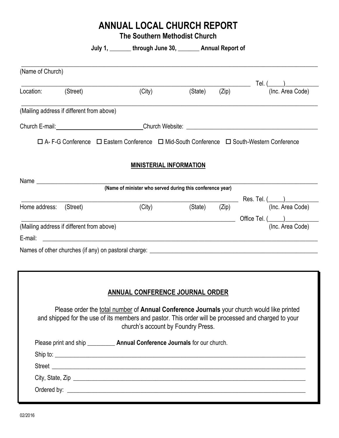# **ANNUAL LOCAL CHURCH REPORT**

**The Southern Methodist Church**

|                        |                                           | July 1, _______ through June 30, ________ Annual Report of                                                                                                                                                                              |         |       |                                                                                                     |
|------------------------|-------------------------------------------|-----------------------------------------------------------------------------------------------------------------------------------------------------------------------------------------------------------------------------------------|---------|-------|-----------------------------------------------------------------------------------------------------|
| (Name of Church)       |                                           |                                                                                                                                                                                                                                         |         |       |                                                                                                     |
| Location: (Street)     |                                           |                                                                                                                                                                                                                                         |         |       | (City) (State) (Zip) Tel. (2)<br>(Inc. Area Code)                                                   |
|                        | (Mailing address if different from above) |                                                                                                                                                                                                                                         |         |       |                                                                                                     |
|                        |                                           |                                                                                                                                                                                                                                         |         |       |                                                                                                     |
|                        |                                           | □ A- F-G Conference □ Eastern Conference □ Mid-South Conference □ South-Western Conference                                                                                                                                              |         |       |                                                                                                     |
|                        |                                           | <b>MINISTERIAL INFORMATION</b>                                                                                                                                                                                                          |         |       |                                                                                                     |
|                        | Name ____________________________         |                                                                                                                                                                                                                                         |         |       |                                                                                                     |
|                        |                                           | (Name of minister who served during this conference year)                                                                                                                                                                               |         |       |                                                                                                     |
| Home address: (Street) |                                           |                                                                                                                                                                                                                                         | (State) | (Zip) | $\frac{\sqrt{2}}{\text{(Zip)}}$ Res. Tel. $\frac{\text{(Inc. Area Code)}}{\text{(Inc. Area Code)}}$ |
|                        |                                           | (City)                                                                                                                                                                                                                                  |         |       |                                                                                                     |
|                        | (Mailing address if different from above) |                                                                                                                                                                                                                                         |         |       | (Inc. Area Code)                                                                                    |
| E-mail:                |                                           | <u> 2000 - Jan James James Barnett, amerikan basar dan berasal dan berasal dari berasal dalam berasal dalam berasa</u>                                                                                                                  |         |       |                                                                                                     |
|                        |                                           |                                                                                                                                                                                                                                         |         |       |                                                                                                     |
|                        |                                           |                                                                                                                                                                                                                                         |         |       |                                                                                                     |
|                        |                                           |                                                                                                                                                                                                                                         |         |       |                                                                                                     |
|                        |                                           | <b>ANNUAL CONFERENCE JOURNAL ORDER</b>                                                                                                                                                                                                  |         |       |                                                                                                     |
|                        |                                           |                                                                                                                                                                                                                                         |         |       |                                                                                                     |
|                        |                                           | Please order the total number of Annual Conference Journals your church would like printed<br>and shipped for the use of its members and pastor. This order will be processed and charged to your<br>church's account by Foundry Press. |         |       |                                                                                                     |
|                        |                                           | Please print and ship ____________ Annual Conference Journals for our church.                                                                                                                                                           |         |       |                                                                                                     |
|                        |                                           |                                                                                                                                                                                                                                         |         |       |                                                                                                     |
|                        |                                           | Street <u>Street and the street of the street and the street of the street and the street of the street and the street of the street and the street and the street of the street and the street and the street and the street an</u>    |         |       |                                                                                                     |
|                        |                                           |                                                                                                                                                                                                                                         |         |       |                                                                                                     |
|                        |                                           |                                                                                                                                                                                                                                         |         |       |                                                                                                     |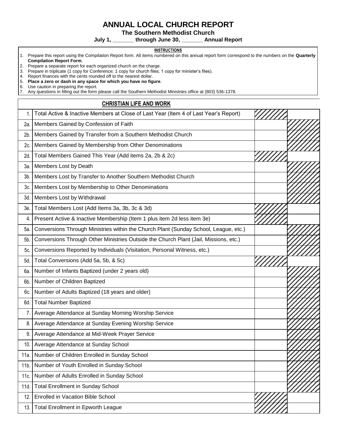## **ANNUAL LOCAL CHURCH REPORT**

**The Southern Methodist Church**

**July 1, \_\_\_\_\_\_\_ through June 30, \_\_\_\_\_\_\_ Annual Report** 

#### **INSTRUCTIONS**

- 1. Prepare this report using the Compilation Report form. All items numbered on this annual report form correspond to the numbers on the **Quarterly Compilation Report Form**.
- 2. Prepare a separate report for each organized church on the charge.
- 3. Prepare in triplicate (1 copy for Conference; 1 copy for church files; 1 copy for minister's files).

4. Report finances with the cents rounded off to the nearest dollar.<br>5. Place a zero or dash in any space for which you have no fig

5. **Place a zero or dash in any space for which you have no figure**.

6. Use caution in preparing the report.

7. Any questions in filling out the form please call the Southern Methodist Ministries office at (803) 536-1378.

#### **CHRISTIAN LIFE AND WORK**

| 1.             | Total Active & Inactive Members at Close of Last Year (Item 4 of Last Year's Report) |  |
|----------------|--------------------------------------------------------------------------------------|--|
| 2a.            | Members Gained by Confession of Faith                                                |  |
| 2 <sub>b</sub> | Members Gained by Transfer from a Southern Methodist Church                          |  |
| 2c.            | Members Gained by Membership from Other Denominations                                |  |
| 2d.            | Total Members Gained This Year (Add items 2a, 2b & 2c)                               |  |
| 3а.            | Members Lost by Death                                                                |  |
| 3b.            | Members Lost by Transfer to Another Southern Methodist Church                        |  |
| Зc.            | Members Lost by Membership to Other Denominations                                    |  |
| 3d.            | Members Lost by Withdrawal                                                           |  |
| 3e.            | Total Members Lost (Add Items 3a, 3b, 3c & 3d)                                       |  |
| $\overline{4}$ | Present Active & Inactive Membership (Item 1 plus item 2d less item 3e)              |  |
| 5а.            | Conversions Through Ministries within the Church Plant (Sunday School, League, etc.) |  |
| 5b.            | Conversions Through Other Ministries Outside the Church Plant (Jail, Missions, etc.) |  |
| 5c.            | Conversions Reported by Individuals (Visitation, Personal Witness, etc.)             |  |
| 5d.            | Total Conversions (Add 5a, 5b, & 5c)                                                 |  |
| 6а.            | Number of Infants Baptized (under 2 years old)                                       |  |
| 6b.            | Number of Children Baptized                                                          |  |
| 6с.            | Number of Adults Baptized (18 years and older)                                       |  |
| 6d.            | <b>Total Number Baptized</b>                                                         |  |
| 7.             | Average Attendance at Sunday Morning Worship Service                                 |  |
| 8.             | Average Attendance at Sunday Evening Worship Service                                 |  |
| 9.             | Average Attendance at Mid-Week Prayer Service                                        |  |
| 10.            | Average Attendance at Sunday School                                                  |  |
| 11a.           | Number of Children Enrolled in Sunday School                                         |  |
| $11b$ .        | Number of Youth Enrolled in Sunday School                                            |  |
| 11c.           | Number of Adults Enrolled in Sunday School                                           |  |
| 11d.           | <b>Total Enrollment in Sunday School</b>                                             |  |
| 12.            | <b>Enrolled in Vacation Bible School</b>                                             |  |
| 13.            | <b>Total Enrollment in Epworth League</b>                                            |  |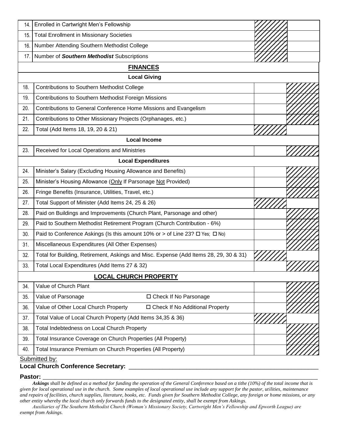| 14. | Enrolled in Cartwright Men's Fellowship                                                |  |  |
|-----|----------------------------------------------------------------------------------------|--|--|
| 15. | <b>Total Enrollment in Missionary Societies</b>                                        |  |  |
| 16. | Number Attending Southern Methodist College                                            |  |  |
| 17. | Number of Southern Methodist Subscriptions                                             |  |  |
|     | <b>FINANCES</b>                                                                        |  |  |
|     | <b>Local Giving</b>                                                                    |  |  |
| 18. | <b>Contributions to Southern Methodist College</b>                                     |  |  |
| 19. | Contributions to Southern Methodist Foreign Missions                                   |  |  |
| 20. | Contributions to General Conference Home Missions and Evangelism                       |  |  |
| 21. | Contributions to Other Missionary Projects (Orphanages, etc.)                          |  |  |
| 22. | Total (Add Items 18, 19, 20 & 21)                                                      |  |  |
|     | <b>Local Income</b>                                                                    |  |  |
| 23. | Received for Local Operations and Ministries                                           |  |  |
|     | <b>Local Expenditures</b>                                                              |  |  |
| 24. | Minister's Salary (Excluding Housing Allowance and Benefits)                           |  |  |
| 25. | Minister's Housing Allowance (Only If Parsonage Not Provided)                          |  |  |
| 26. | Fringe Benefits (Insurance, Utilities, Travel, etc.)                                   |  |  |
| 27. | Total Support of Minister (Add Items 24, 25 & 26)                                      |  |  |
| 28. | Paid on Buildings and Improvements (Church Plant, Parsonage and other)                 |  |  |
| 29. | Paid to Southern Methodist Retirement Program (Church Contribution - 6%)               |  |  |
| 30. | Paid to Conference Askings (Is this amount 10% or > of Line 23? $\Box$ Yes; $\Box$ No) |  |  |
| 31. | Miscellaneous Expenditures (All Other Expenses)                                        |  |  |
| 32. | Total for Building, Retirement, Askings and Misc. Expense (Add Items 28, 29, 30 & 31)  |  |  |
| 33. | Total Local Expenditures (Add Items 27 & 32)                                           |  |  |
|     | <b>LOCAL CHURCH PROPERTY</b>                                                           |  |  |
| 34. | Value of Church Plant                                                                  |  |  |
| 35. | Value of Parsonage<br>□ Check If No Parsonage                                          |  |  |
| 36. | Value of Other Local Church Property<br>□ Check If No Additional Property              |  |  |
| 37. | Total Value of Local Church Property (Add Items 34,35 & 36)                            |  |  |
| 38. | Total Indebtedness on Local Church Property                                            |  |  |
| 39. | Total Insurance Coverage on Church Properties (All Property)                           |  |  |
| 40. | Total Insurance Premium on Church Properties (All Property)                            |  |  |
|     | Submitted by:                                                                          |  |  |

#### **Local Church Conference Secretary:** \_\_\_\_\_\_\_\_\_\_\_\_\_\_\_\_\_\_\_\_\_\_\_\_\_\_\_\_\_\_\_\_\_\_\_\_\_\_\_\_\_\_\_\_\_\_\_\_\_\_\_\_\_\_\_\_

#### **Pastor: \_\_\_\_\_\_\_\_\_\_\_\_\_\_\_\_\_\_\_\_\_\_\_\_\_\_\_\_\_\_\_\_\_\_\_\_\_\_\_\_\_\_\_\_\_\_\_\_\_\_\_\_\_\_\_\_\_\_\_\_\_\_\_\_\_\_\_\_\_\_\_\_\_\_\_\_\_\_\_\_\_\_\_\_\_\_\_\_\_\_**

 *Askings shall be defined as a method for funding the operation of the General Conference based on a tithe (10%) of the total income that is given for local operational use in the church. Some examples of local operational use include any support for the pastor, utilities, maintenance and repairs of facilities, church supplies, literature, books, etc. Funds given for Southern Methodist College, any foreign or home missions, or any other entity whereby the local church only forwards funds to the designated entity, shall be exempt from Askings.*

 *Auxiliaries of The Southern Methodist Church (Woman's Missionary Society, Cartwright Men's Fellowship and Epworth League) are exempt from Askings*.